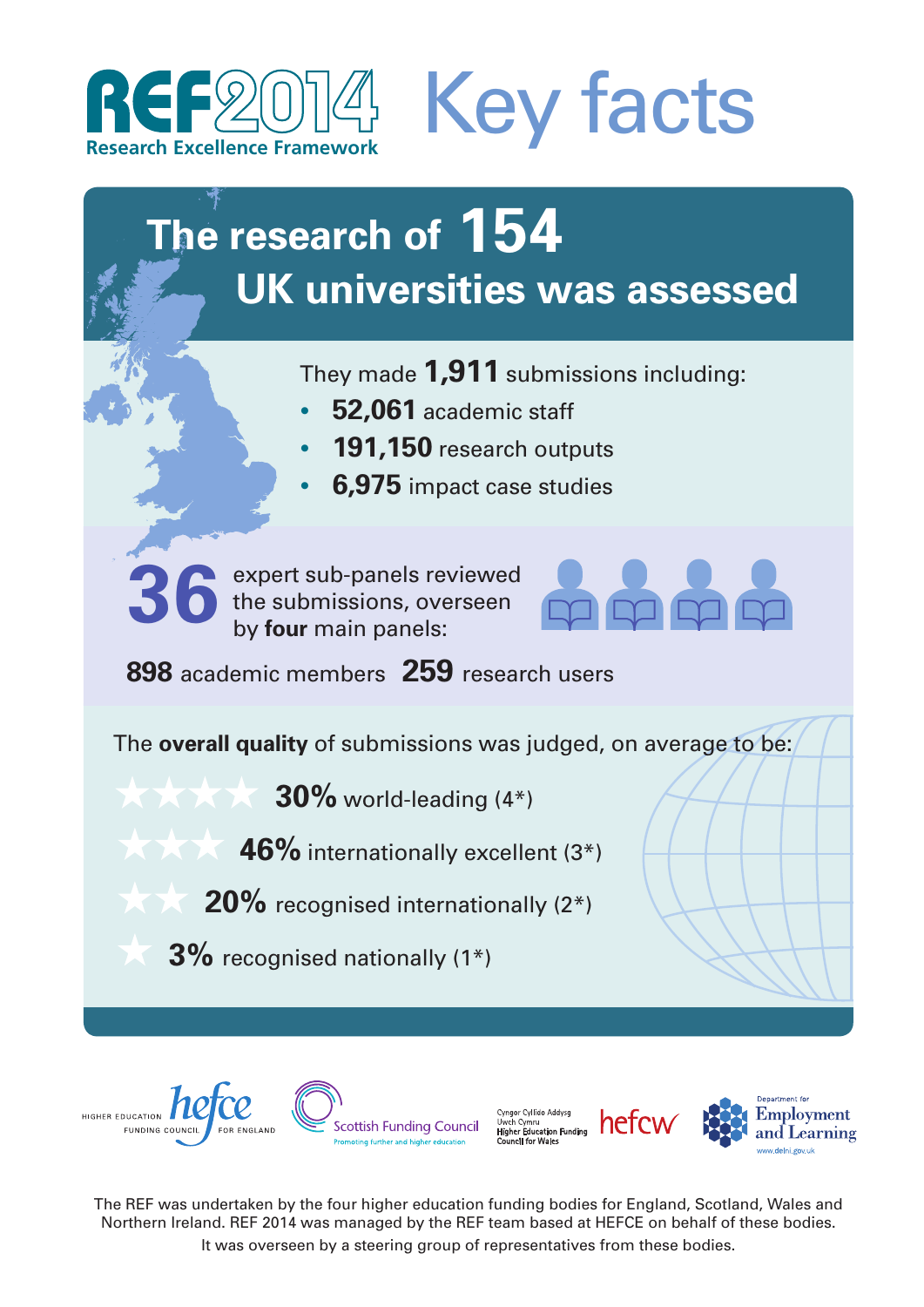



# **The research of 154 UK universities was assessed**

They made **1,911** submissions including:

- **• 52,061** academic staff
- **• 191,150** research outputs
- **• 6,975** impact case studies

**36**

expert sub-panels reviewed the submissions, overseen by **four** main panels:



**898** academic members **259** research users

The **overall quality** of submissions was judged, on average to be:

**30%** world-leading (4\*)

**46%** internationally excellent (3\*)

**20%** recognised internationally (2\*)

**3%** recognised nationally (1\*)









The REF was undertaken by the four higher education funding bodies for England, Scotland, Wales and Northern Ireland. REF 2014 was managed by the REF team based at HEFCE on behalf of these bodies. It was overseen by a steering group of representatives from these bodies.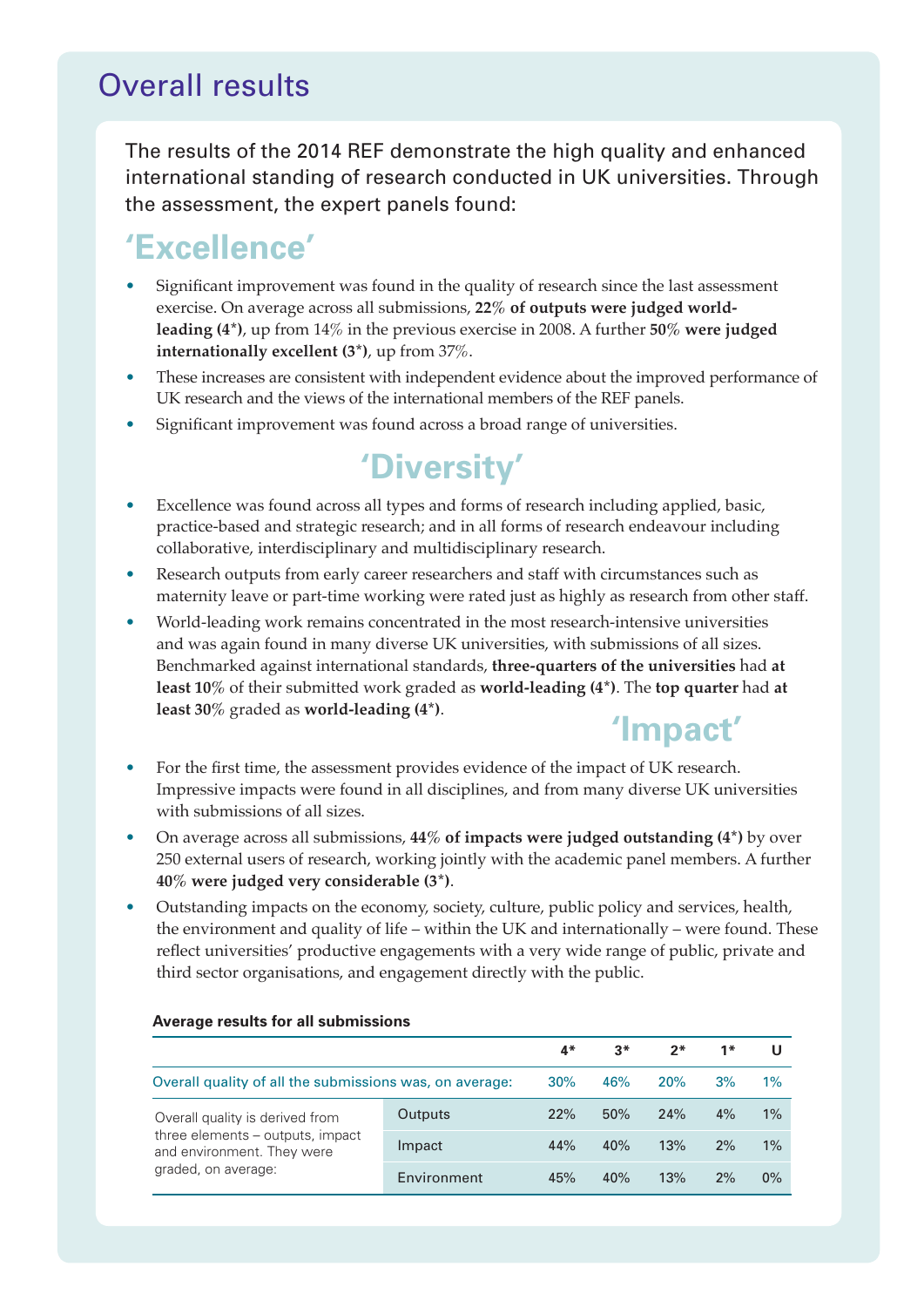### Overall results

The results of the 2014 REF demonstrate the high quality and enhanced international standing of research conducted in UK universities. Through the assessment, the expert panels found:

### **'Excellence'**

- Significant improvement was found in the quality of research since the last assessment exercise. On average across all submissions, **22% of outputs were judged worldleading (4\*)**, up from 14% in the previous exercise in 2008. A further **50% were judged internationally excellent (3\*)**, up from 37%.
- These increases are consistent with independent evidence about the improved performance of UK research and the views of the international members of the REF panels.
- Significant improvement was found across a broad range of universities.

# **'Diversity'**

- Excellence was found across all types and forms of research including applied, basic, practice-based and strategic research; and in all forms of research endeavour including collaborative, interdisciplinary and multidisciplinary research.
- Research outputs from early career researchers and staff with circumstances such as maternity leave or part-time working were rated just as highly as research from other staff.
- World-leading work remains concentrated in the most research-intensive universities and was again found in many diverse UK universities, with submissions of all sizes. Benchmarked against international standards, **three-quarters of the universities** had **at least 10%** of their submitted work graded as **world-leading (4\*)**. The **top quarter** had **at least 30%** graded as **world-leading (4\*)**.

## **'Impact'**

- For the first time, the assessment provides evidence of the impact of UK research. Impressive impacts were found in all disciplines, and from many diverse UK universities with submissions of all sizes.
- On average across all submissions, **44% of impacts were judged outstanding (4\*)** by over 250 external users of research, working jointly with the academic panel members. A further **40% were judged very considerable (3\*)**.
- Outstanding impacts on the economy, society, culture, public policy and services, health, the environment and quality of life – within the UK and internationally – were found. These reflect universities' productive engagements with a very wide range of public, private and third sector organisations, and engagement directly with the public.

|                                                                                                                          |             | 4*  | $3*$ | 2*  | $1*$ |       |
|--------------------------------------------------------------------------------------------------------------------------|-------------|-----|------|-----|------|-------|
| Overall quality of all the submissions was, on average:                                                                  |             | 30% | 46%  | 20% | 3%   | $1\%$ |
| Overall quality is derived from<br>three elements – outputs, impact<br>and environment. They were<br>graded, on average: | Outputs     | 22% | 50%  | 24% | 4%   | 1%    |
|                                                                                                                          | Impact      | 44% | 40%  | 13% | 2%   | 1%    |
|                                                                                                                          | Environment | 45% | 40%  | 13% | 2%   | $0\%$ |

#### **Average results for all submissions**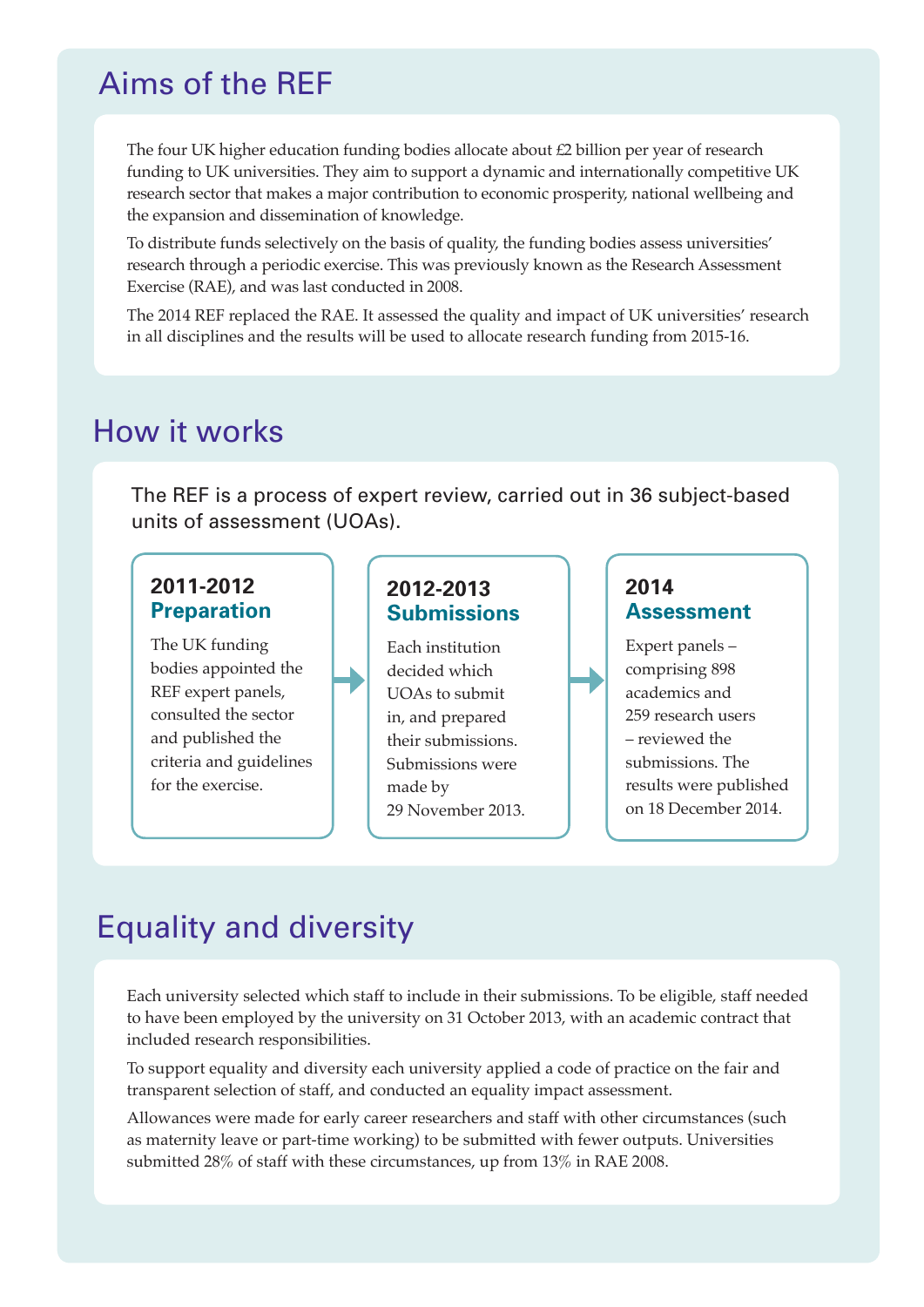### Aims of the REF

The four UK higher education funding bodies allocate about £2 billion per year of research funding to UK universities. They aim to support a dynamic and internationally competitive UK research sector that makes a major contribution to economic prosperity, national wellbeing and the expansion and dissemination of knowledge.

To distribute funds selectively on the basis of quality, the funding bodies assess universities' research through a periodic exercise. This was previously known as the Research Assessment Exercise (RAE), and was last conducted in 2008.

The 2014 REF replaced the RAE. It assessed the quality and impact of UK universities' research in all disciplines and the results will be used to allocate research funding from 2015-16.

### How it works

The REF is a process of expert review, carried out in 36 subject-based units of assessment (UOAs).

#### **2011-2012 Preparation**

The UK funding bodies appointed the REF expert panels, consulted the sector and published the criteria and guidelines for the exercise.

#### **2012-2013 Submissions**

Each institution decided which UOAs to submit in, and prepared their submissions. Submissions were made by 29 November 2013. **2014 Assessment** 

Expert panels – comprising 898 academics and 259 research users – reviewed the submissions. The results were published on 18 December 2014.

## Equality and diversity

Each university selected which staff to include in their submissions. To be eligible, staff needed to have been employed by the university on 31 October 2013, with an academic contract that included research responsibilities.

To support equality and diversity each university applied a code of practice on the fair and transparent selection of staff, and conducted an equality impact assessment.

Allowances were made for early career researchers and staff with other circumstances (such as maternity leave or part-time working) to be submitted with fewer outputs. Universities submitted 28% of staff with these circumstances, up from 13% in RAE 2008.